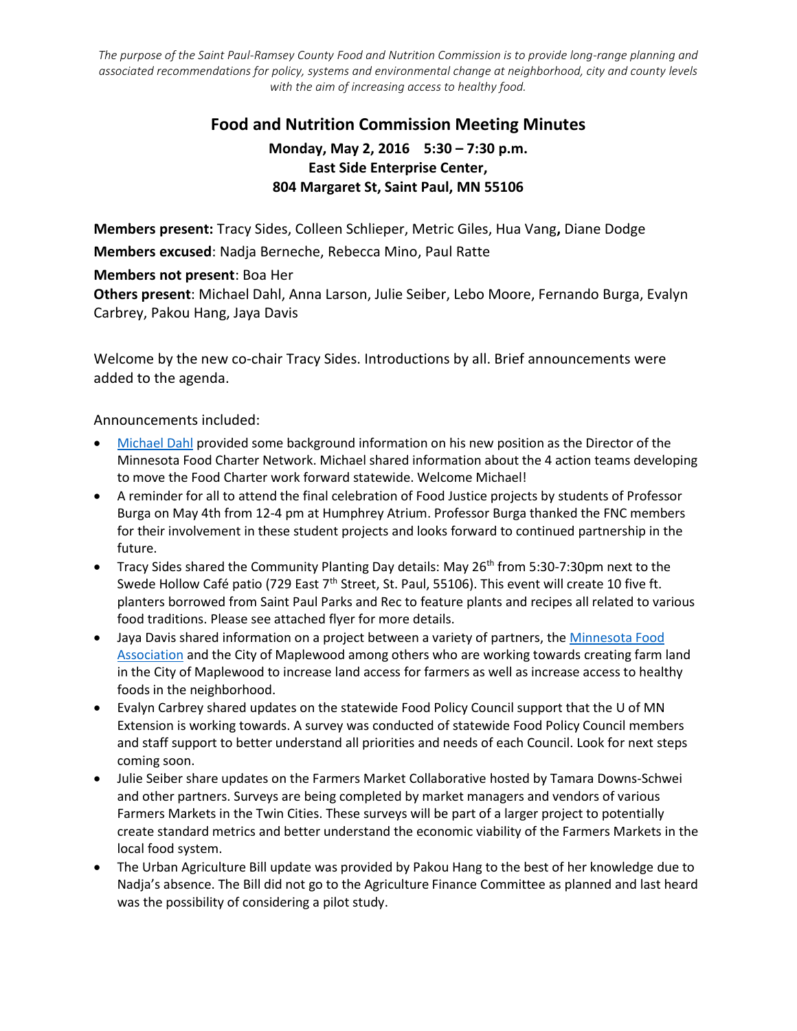*The purpose of the Saint Paul-Ramsey County Food and Nutrition Commission is to provide long-range planning and associated recommendations for policy, systems and environmental change at neighborhood, city and county levels with the aim of increasing access to healthy food.*

## **Food and Nutrition Commission Meeting Minutes Monday, May 2, 2016 5:30 – 7:30 p.m. East Side Enterprise Center, 804 Margaret St, Saint Paul, MN 55106**

**Members present:** Tracy Sides, Colleen Schlieper, Metric Giles, Hua Vang**,** Diane Dodge **Members excused**: Nadja Berneche, Rebecca Mino, Paul Ratte

**Members not present**: Boa Her

**Others present**: Michael Dahl, Anna Larson, Julie Seiber, Lebo Moore, Fernando Burga, Evalyn Carbrey, Pakou Hang, Jaya Davis

Welcome by the new co-chair Tracy Sides. Introductions by all. Brief announcements were added to the agenda.

Announcements included:

- [Michael Dahl](https://www.hfhl.umn.edu/michael-dahl) provided some background information on his new position as the Director of the Minnesota Food Charter Network. Michael shared information about the 4 action teams developing to move the Food Charter work forward statewide. Welcome Michael!
- A reminder for all to attend the final celebration of Food Justice projects by students of Professor Burga on May 4th from 12-4 pm at Humphrey Atrium. Professor Burga thanked the FNC members for their involvement in these student projects and looks forward to continued partnership in the future.
- Tracy Sides shared the Community Planting Day details: May  $26<sup>th</sup>$  from 5:30-7:30pm next to the Swede Hollow Café patio (729 East 7<sup>th</sup> Street, St. Paul, 55106). This event will create 10 five ft. planters borrowed from Saint Paul Parks and Rec to feature plants and recipes all related to various food traditions. Please see attached flyer for more details.
- Jaya Davis shared information on a project between a variety of partners, the [Minnesota Food](http://www.mnfoodassociation.org/)  [Association](http://www.mnfoodassociation.org/) and the City of Maplewood among others who are working towards creating farm land in the City of Maplewood to increase land access for farmers as well as increase access to healthy foods in the neighborhood.
- Evalyn Carbrey shared updates on the statewide Food Policy Council support that the U of MN Extension is working towards. A survey was conducted of statewide Food Policy Council members and staff support to better understand all priorities and needs of each Council. Look for next steps coming soon.
- Julie Seiber share updates on the Farmers Market Collaborative hosted by Tamara Downs-Schwei and other partners. Surveys are being completed by market managers and vendors of various Farmers Markets in the Twin Cities. These surveys will be part of a larger project to potentially create standard metrics and better understand the economic viability of the Farmers Markets in the local food system.
- The Urban Agriculture Bill update was provided by Pakou Hang to the best of her knowledge due to Nadja's absence. The Bill did not go to the Agriculture Finance Committee as planned and last heard was the possibility of considering a pilot study.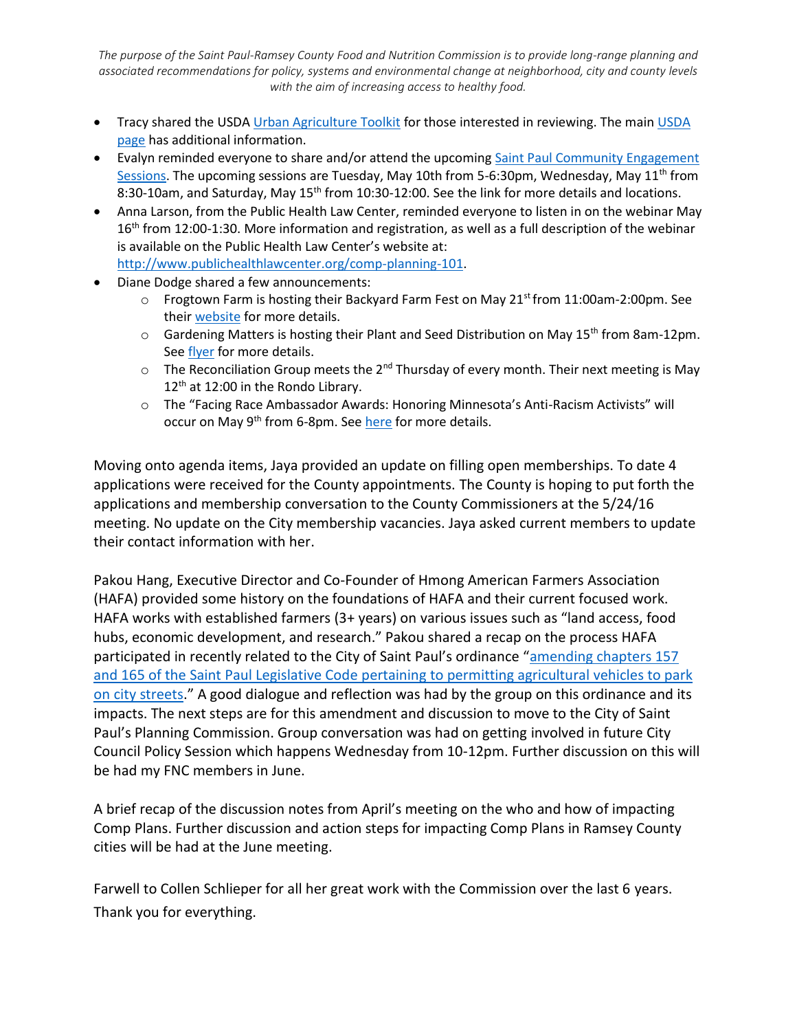*The purpose of the Saint Paul-Ramsey County Food and Nutrition Commission is to provide long-range planning and associated recommendations for policy, systems and environmental change at neighborhood, city and county levels with the aim of increasing access to healthy food.*

- Tracy shared the USD[A Urban Agriculture Toolkit](http://www.usda.gov/documents/urban-agriculture-toolkit.pdf) for those interested in reviewing. The main USDA [page](http://www.usda.gov/wps/portal/usda/knowyourfarmer?navid=kyf-urban-agric) has additional information.
- Evalyn reminded everyone to share and/or attend the upcoming [Saint Paul Community Engagement](https://www.stpaul.gov/departments/planning-economic-development/planning/citywide-plans)  [Sessions.](https://www.stpaul.gov/departments/planning-economic-development/planning/citywide-plans) The upcoming sessions are Tuesday, May 10th from 5-6:30pm, Wednesday, May  $11<sup>th</sup>$  from 8:30-10am, and Saturday, May 15<sup>th</sup> from 10:30-12:00. See the link for more details and locations.
- Anna Larson, from the Public Health Law Center, reminded everyone to listen in on the webinar May 16<sup>th</sup> from 12:00-1:30. More information and registration, as well as a full description of the webinar is available on the Public Health Law Center's website at: [http://www.publichealthlawcenter.org/comp-planning-101.](http://www.publichealthlawcenter.org/comp-planning-101)
- Diane Dodge shared a few announcements:
	- $\circ$  Frogtown Farm is hosting their Backyard Farm Fest on May 21<sup>st</sup> from 11:00am-2:00pm. See their [website](http://frogtownfarm.org/bff-std/) for more details.
	- $\circ$  Gardening Matters is hosting their Plant and Seed Distribution on May 15<sup>th</sup> from 8am-12pm. Se[e flyer](http://frogtownfarm.org/gmseeds16/) for more details.
	- $\circ$  The Reconciliation Group meets the 2<sup>nd</sup> Thursday of every month. Their next meeting is May 12<sup>th</sup> at 12:00 in the Rondo Library.
	- o The "Facing Race Ambassador Awards: Honoring Minnesota's Anti-Racism Activists" will occur on May 9<sup>th</sup> from 6-8pm. Se[e here](http://www.saintpaulfoundation.org/ambassador_awards/) for more details.

Moving onto agenda items, Jaya provided an update on filling open memberships. To date 4 applications were received for the County appointments. The County is hoping to put forth the applications and membership conversation to the County Commissioners at the 5/24/16 meeting. No update on the City membership vacancies. Jaya asked current members to update their contact information with her.

Pakou Hang, Executive Director and Co-Founder of Hmong American Farmers Association (HAFA) provided some history on the foundations of HAFA and their current focused work. HAFA works with established farmers (3+ years) on various issues such as "land access, food hubs, economic development, and research." Pakou shared a recap on the process HAFA participated in recently related to the City of Saint Paul's ordinance "[amending chapters 157](https://stpaul.legistar.com/LegislationDetail.aspx?ID=2600103&GUID=166B5D1A-43E7-440D-8ABA-CFE5D70DE30D)  [and 165 of the Saint Paul Legislative Code pertaining to permitting agricultural vehicles to park](https://stpaul.legistar.com/LegislationDetail.aspx?ID=2600103&GUID=166B5D1A-43E7-440D-8ABA-CFE5D70DE30D)  [on city streets](https://stpaul.legistar.com/LegislationDetail.aspx?ID=2600103&GUID=166B5D1A-43E7-440D-8ABA-CFE5D70DE30D)." A good dialogue and reflection was had by the group on this ordinance and its impacts. The next steps are for this amendment and discussion to move to the City of Saint Paul's Planning Commission. Group conversation was had on getting involved in future City Council Policy Session which happens Wednesday from 10-12pm. Further discussion on this will be had my FNC members in June.

A brief recap of the discussion notes from April's meeting on the who and how of impacting Comp Plans. Further discussion and action steps for impacting Comp Plans in Ramsey County cities will be had at the June meeting.

Farwell to Collen Schlieper for all her great work with the Commission over the last 6 years. Thank you for everything.